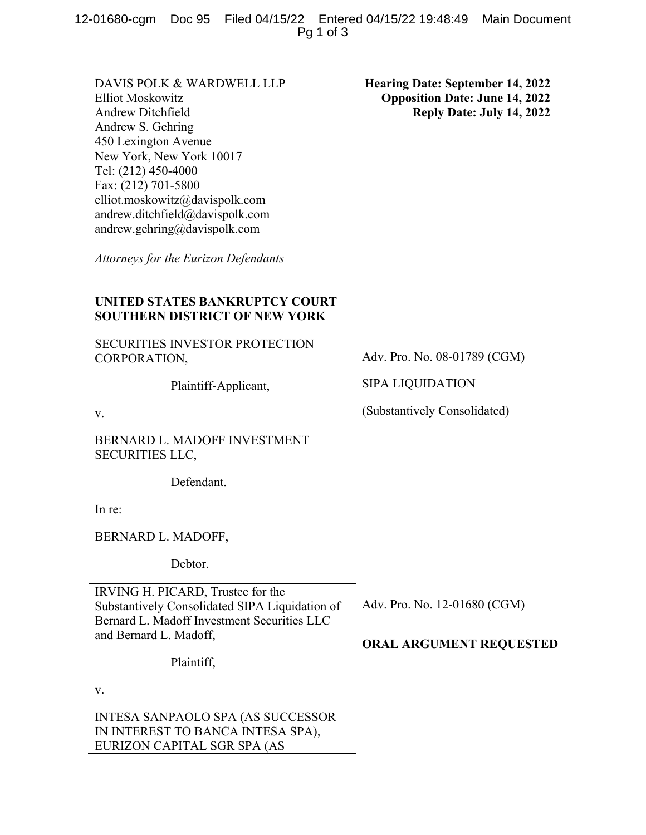12-01680-cgm Doc 95 Filed 04/15/22 Entered 04/15/22 19:48:49 Main Document Pg 1 of 3

DAVIS POLK & WARDWELL LLP Elliot Moskowitz Andrew Ditchfield Andrew S. Gehring 450 Lexington Avenue New York, New York 10017 Tel: (212) 450-4000 Fax: (212) 701-5800 elliot.moskowitz@davispolk.com andrew.ditchfield@davispolk.com andrew.gehring@davispolk.com

*Attorneys for the Eurizon Defendants* 

**Hearing Date: September 14, 2022 Opposition Date: June 14, 2022 Reply Date: July 14, 2022** 

## **UNITED STATES BANKRUPTCY COURT SOUTHERN DISTRICT OF NEW YORK**

| <b>SECURITIES INVESTOR PROTECTION</b><br>CORPORATION,                                                                              | Adv. Pro. No. 08-01789 (CGM) |
|------------------------------------------------------------------------------------------------------------------------------------|------------------------------|
| Plaintiff-Applicant,                                                                                                               | <b>SIPA LIQUIDATION</b>      |
| V.                                                                                                                                 | (Substantively Consolidated) |
| BERNARD L. MADOFF INVESTMENT<br><b>SECURITIES LLC,</b>                                                                             |                              |
| Defendant.                                                                                                                         |                              |
| In re:                                                                                                                             |                              |
| BERNARD L. MADOFF,                                                                                                                 |                              |
| Debtor.                                                                                                                            |                              |
| IRVING H. PICARD, Trustee for the<br>Substantively Consolidated SIPA Liquidation of<br>Bernard L. Madoff Investment Securities LLC | Adv. Pro. No. 12-01680 (CGM) |
| and Bernard L. Madoff,                                                                                                             | ORAL ARGUMENT REQUESTED      |
| Plaintiff,                                                                                                                         |                              |
| V.                                                                                                                                 |                              |
| <b>INTESA SANPAOLO SPA (AS SUCCESSOR</b><br>IN INTEREST TO BANCA INTESA SPA),<br>EURIZON CAPITAL SGR SPA (AS                       |                              |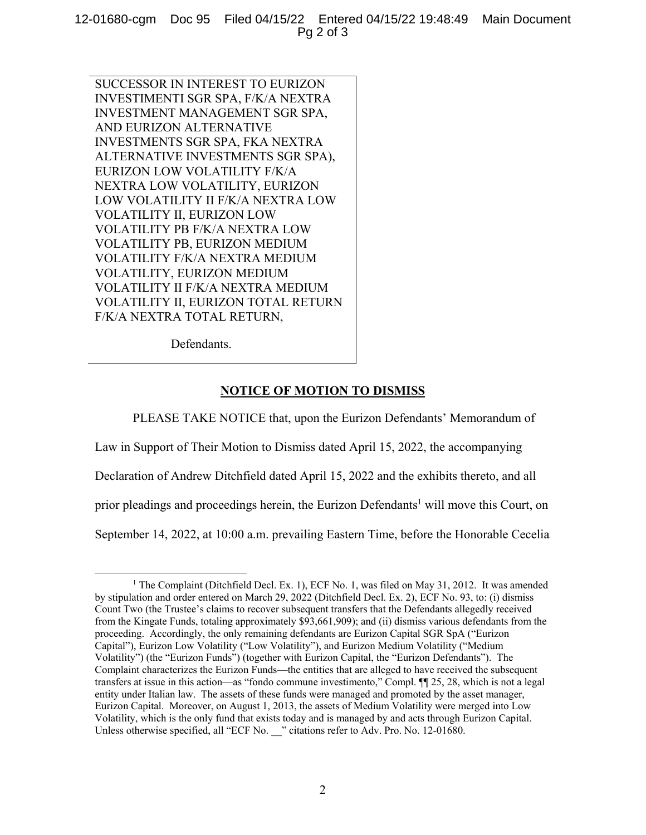12-01680-cgm Doc 95 Filed 04/15/22 Entered 04/15/22 19:48:49 Main Document Pg 2 of 3

SUCCESSOR IN INTEREST TO EURIZON INVESTIMENTI SGR SPA, F/K/A NEXTRA INVESTMENT MANAGEMENT SGR SPA, AND EURIZON ALTERNATIVE INVESTMENTS SGR SPA, FKA NEXTRA ALTERNATIVE INVESTMENTS SGR SPA), EURIZON LOW VOLATILITY F/K/A NEXTRA LOW VOLATILITY, EURIZON LOW VOLATILITY II F/K/A NEXTRA LOW VOLATILITY II, EURIZON LOW VOLATILITY PB F/K/A NEXTRA LOW VOLATILITY PB, EURIZON MEDIUM VOLATILITY F/K/A NEXTRA MEDIUM VOLATILITY, EURIZON MEDIUM VOLATILITY II F/K/A NEXTRA MEDIUM VOLATILITY II, EURIZON TOTAL RETURN F/K/A NEXTRA TOTAL RETURN,

Defendants.

## **NOTICE OF MOTION TO DISMISS**

PLEASE TAKE NOTICE that, upon the Eurizon Defendants' Memorandum of

Law in Support of Their Motion to Dismiss dated April 15, 2022, the accompanying

Declaration of Andrew Ditchfield dated April 15, 2022 and the exhibits thereto, and all

prior pleadings and proceedings herein, the Eurizon Defendants<sup>1</sup> will move this Court, on

September 14, 2022, at 10:00 a.m. prevailing Eastern Time, before the Honorable Cecelia

<sup>&</sup>lt;u>1</u> <sup>1</sup> The Complaint (Ditchfield Decl. Ex. 1), ECF No. 1, was filed on May 31, 2012. It was amended by stipulation and order entered on March 29, 2022 (Ditchfield Decl. Ex. 2), ECF No. 93, to: (i) dismiss Count Two (the Trustee's claims to recover subsequent transfers that the Defendants allegedly received from the Kingate Funds, totaling approximately \$93,661,909); and (ii) dismiss various defendants from the proceeding. Accordingly, the only remaining defendants are Eurizon Capital SGR SpA ("Eurizon Capital"), Eurizon Low Volatility ("Low Volatility"), and Eurizon Medium Volatility ("Medium Volatility") (the "Eurizon Funds") (together with Eurizon Capital, the "Eurizon Defendants"). The Complaint characterizes the Eurizon Funds—the entities that are alleged to have received the subsequent transfers at issue in this action—as "fondo commune investimento," Compl. ¶¶ 25, 28, which is not a legal entity under Italian law. The assets of these funds were managed and promoted by the asset manager, Eurizon Capital. Moreover, on August 1, 2013, the assets of Medium Volatility were merged into Low Volatility, which is the only fund that exists today and is managed by and acts through Eurizon Capital. Unless otherwise specified, all "ECF No. \_\_" citations refer to Adv. Pro. No. 12-01680.